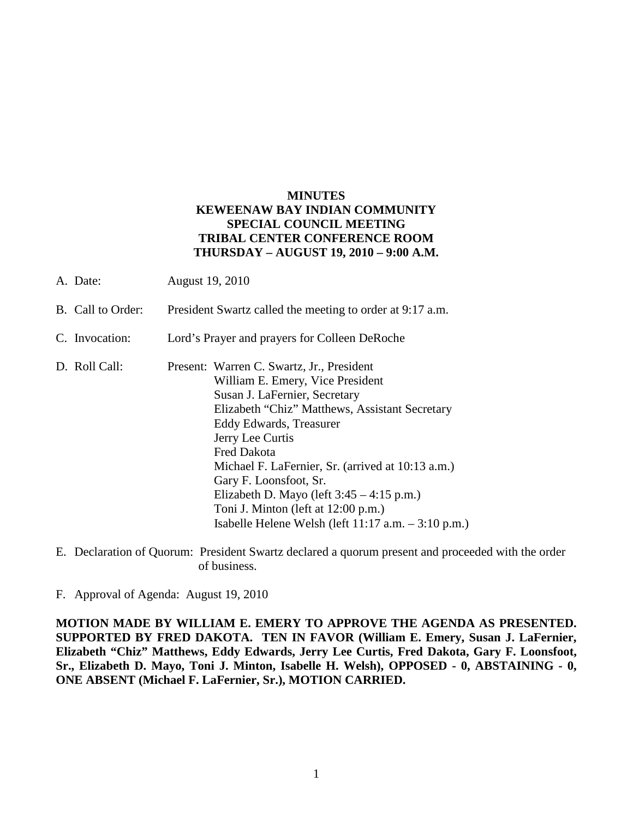## **MINUTES KEWEENAW BAY INDIAN COMMUNITY SPECIAL COUNCIL MEETING TRIBAL CENTER CONFERENCE ROOM THURSDAY – AUGUST 19, 2010 – 9:00 A.M.**

- A. Date: August 19, 2010
- B. Call to Order: President Swartz called the meeting to order at 9:17 a.m.
- C. Invocation: Lord's Prayer and prayers for Colleen DeRoche
- D. Roll Call: Present: Warren C. Swartz, Jr., President William E. Emery, Vice President Susan J. LaFernier, Secretary Elizabeth "Chiz" Matthews, Assistant Secretary Eddy Edwards, Treasurer Jerry Lee Curtis Fred Dakota Michael F. LaFernier, Sr. (arrived at 10:13 a.m.) Gary F. Loonsfoot, Sr. Elizabeth D. Mayo (left  $3:45 - 4:15$  p.m.) Toni J. Minton (left at 12:00 p.m.) Isabelle Helene Welsh (left 11:17 a.m. – 3:10 p.m.)
- E. Declaration of Quorum: President Swartz declared a quorum present and proceeded with the order of business.

F. Approval of Agenda: August 19, 2010

**MOTION MADE BY WILLIAM E. EMERY TO APPROVE THE AGENDA AS PRESENTED. SUPPORTED BY FRED DAKOTA. TEN IN FAVOR (William E. Emery, Susan J. LaFernier, Elizabeth "Chiz" Matthews, Eddy Edwards, Jerry Lee Curtis, Fred Dakota, Gary F. Loonsfoot, Sr., Elizabeth D. Mayo, Toni J. Minton, Isabelle H. Welsh), OPPOSED - 0, ABSTAINING - 0, ONE ABSENT (Michael F. LaFernier, Sr.), MOTION CARRIED.**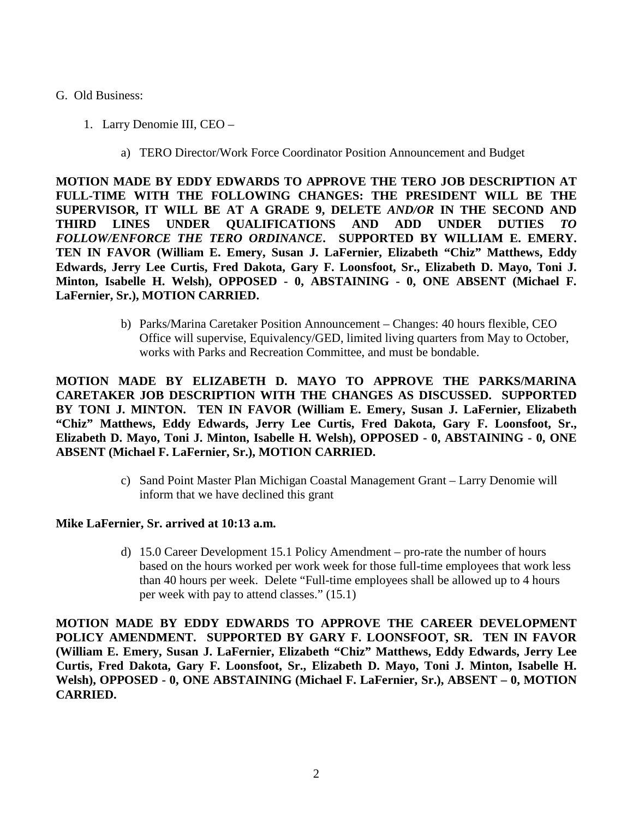#### G. Old Business:

- 1. Larry Denomie III, CEO
	- a) TERO Director/Work Force Coordinator Position Announcement and Budget

**MOTION MADE BY EDDY EDWARDS TO APPROVE THE TERO JOB DESCRIPTION AT FULL-TIME WITH THE FOLLOWING CHANGES: THE PRESIDENT WILL BE THE SUPERVISOR, IT WILL BE AT A GRADE 9, DELETE** *AND/OR* **IN THE SECOND AND THIRD LINES UNDER QUALIFICATIONS AND ADD UNDER DUTIES** *TO FOLLOW/ENFORCE THE TERO ORDINANCE***. SUPPORTED BY WILLIAM E. EMERY. TEN IN FAVOR (William E. Emery, Susan J. LaFernier, Elizabeth "Chiz" Matthews, Eddy Edwards, Jerry Lee Curtis, Fred Dakota, Gary F. Loonsfoot, Sr., Elizabeth D. Mayo, Toni J. Minton, Isabelle H. Welsh), OPPOSED - 0, ABSTAINING - 0, ONE ABSENT (Michael F. LaFernier, Sr.), MOTION CARRIED.**

> b) Parks/Marina Caretaker Position Announcement – Changes: 40 hours flexible, CEO Office will supervise, Equivalency/GED, limited living quarters from May to October, works with Parks and Recreation Committee, and must be bondable.

**MOTION MADE BY ELIZABETH D. MAYO TO APPROVE THE PARKS/MARINA CARETAKER JOB DESCRIPTION WITH THE CHANGES AS DISCUSSED. SUPPORTED BY TONI J. MINTON. TEN IN FAVOR (William E. Emery, Susan J. LaFernier, Elizabeth "Chiz" Matthews, Eddy Edwards, Jerry Lee Curtis, Fred Dakota, Gary F. Loonsfoot, Sr., Elizabeth D. Mayo, Toni J. Minton, Isabelle H. Welsh), OPPOSED - 0, ABSTAINING - 0, ONE ABSENT (Michael F. LaFernier, Sr.), MOTION CARRIED.**

> c) Sand Point Master Plan Michigan Coastal Management Grant – Larry Denomie will inform that we have declined this grant

### **Mike LaFernier, Sr. arrived at 10:13 a.m.**

d) 15.0 Career Development 15.1 Policy Amendment – pro-rate the number of hours based on the hours worked per work week for those full-time employees that work less than 40 hours per week. Delete "Full-time employees shall be allowed up to 4 hours per week with pay to attend classes." (15.1)

**MOTION MADE BY EDDY EDWARDS TO APPROVE THE CAREER DEVELOPMENT POLICY AMENDMENT. SUPPORTED BY GARY F. LOONSFOOT, SR. TEN IN FAVOR (William E. Emery, Susan J. LaFernier, Elizabeth "Chiz" Matthews, Eddy Edwards, Jerry Lee Curtis, Fred Dakota, Gary F. Loonsfoot, Sr., Elizabeth D. Mayo, Toni J. Minton, Isabelle H. Welsh), OPPOSED - 0, ONE ABSTAINING (Michael F. LaFernier, Sr.), ABSENT – 0, MOTION CARRIED.**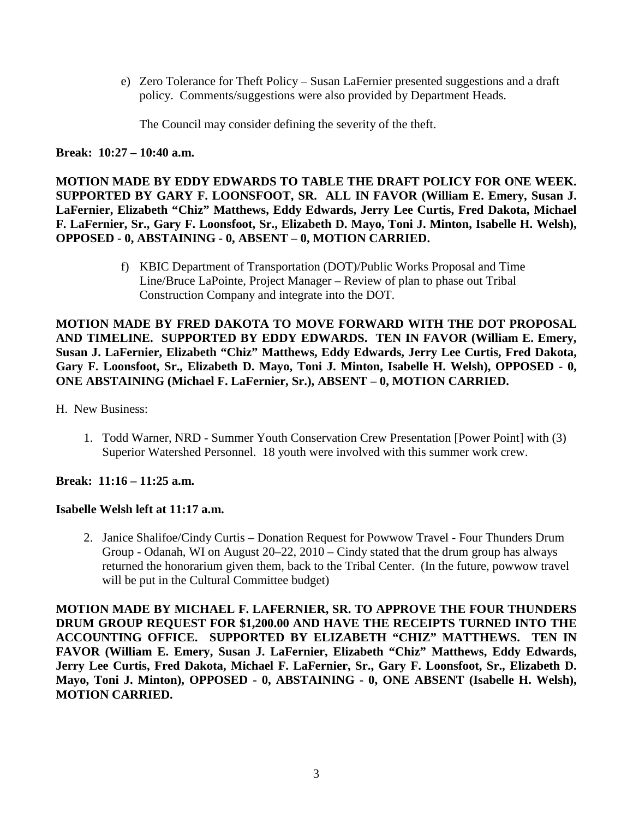e) Zero Tolerance for Theft Policy – Susan LaFernier presented suggestions and a draft policy. Comments/suggestions were also provided by Department Heads.

The Council may consider defining the severity of the theft.

**Break: 10:27 – 10:40 a.m.** 

**MOTION MADE BY EDDY EDWARDS TO TABLE THE DRAFT POLICY FOR ONE WEEK. SUPPORTED BY GARY F. LOONSFOOT, SR. ALL IN FAVOR (William E. Emery, Susan J. LaFernier, Elizabeth "Chiz" Matthews, Eddy Edwards, Jerry Lee Curtis, Fred Dakota, Michael F. LaFernier, Sr., Gary F. Loonsfoot, Sr., Elizabeth D. Mayo, Toni J. Minton, Isabelle H. Welsh), OPPOSED - 0, ABSTAINING - 0, ABSENT – 0, MOTION CARRIED.**

> f) KBIC Department of Transportation (DOT)/Public Works Proposal and Time Line/Bruce LaPointe, Project Manager – Review of plan to phase out Tribal Construction Company and integrate into the DOT.

**MOTION MADE BY FRED DAKOTA TO MOVE FORWARD WITH THE DOT PROPOSAL AND TIMELINE. SUPPORTED BY EDDY EDWARDS. TEN IN FAVOR (William E. Emery, Susan J. LaFernier, Elizabeth "Chiz" Matthews, Eddy Edwards, Jerry Lee Curtis, Fred Dakota, Gary F. Loonsfoot, Sr., Elizabeth D. Mayo, Toni J. Minton, Isabelle H. Welsh), OPPOSED - 0, ONE ABSTAINING (Michael F. LaFernier, Sr.), ABSENT – 0, MOTION CARRIED.**

H. New Business:

1. Todd Warner, NRD - Summer Youth Conservation Crew Presentation [Power Point] with (3) Superior Watershed Personnel. 18 youth were involved with this summer work crew.

**Break: 11:16 – 11:25 a.m.** 

# **Isabelle Welsh left at 11:17 a.m.**

2. Janice Shalifoe/Cindy Curtis – Donation Request for Powwow Travel - Four Thunders Drum Group - Odanah, WI on August 20–22, 2010 – Cindy stated that the drum group has always returned the honorarium given them, back to the Tribal Center. (In the future, powwow travel will be put in the Cultural Committee budget)

**MOTION MADE BY MICHAEL F. LAFERNIER, SR. TO APPROVE THE FOUR THUNDERS DRUM GROUP REQUEST FOR \$1,200.00 AND HAVE THE RECEIPTS TURNED INTO THE ACCOUNTING OFFICE. SUPPORTED BY ELIZABETH "CHIZ" MATTHEWS. TEN IN FAVOR (William E. Emery, Susan J. LaFernier, Elizabeth "Chiz" Matthews, Eddy Edwards, Jerry Lee Curtis, Fred Dakota, Michael F. LaFernier, Sr., Gary F. Loonsfoot, Sr., Elizabeth D. Mayo, Toni J. Minton), OPPOSED - 0, ABSTAINING - 0, ONE ABSENT (Isabelle H. Welsh), MOTION CARRIED.**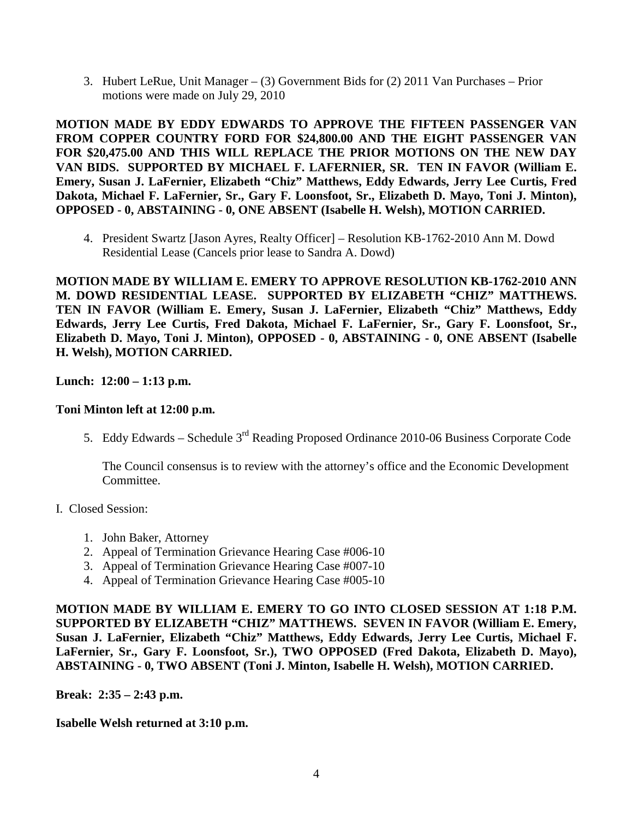3. Hubert LeRue, Unit Manager – (3) Government Bids for (2) 2011 Van Purchases – Prior motions were made on July 29, 2010

**MOTION MADE BY EDDY EDWARDS TO APPROVE THE FIFTEEN PASSENGER VAN FROM COPPER COUNTRY FORD FOR \$24,800.00 AND THE EIGHT PASSENGER VAN FOR \$20,475.00 AND THIS WILL REPLACE THE PRIOR MOTIONS ON THE NEW DAY VAN BIDS. SUPPORTED BY MICHAEL F. LAFERNIER, SR. TEN IN FAVOR (William E. Emery, Susan J. LaFernier, Elizabeth "Chiz" Matthews, Eddy Edwards, Jerry Lee Curtis, Fred Dakota, Michael F. LaFernier, Sr., Gary F. Loonsfoot, Sr., Elizabeth D. Mayo, Toni J. Minton), OPPOSED - 0, ABSTAINING - 0, ONE ABSENT (Isabelle H. Welsh), MOTION CARRIED.**

4. President Swartz [Jason Ayres, Realty Officer] – Resolution KB-1762-2010 Ann M. Dowd Residential Lease (Cancels prior lease to Sandra A. Dowd)

**MOTION MADE BY WILLIAM E. EMERY TO APPROVE RESOLUTION KB-1762-2010 ANN M. DOWD RESIDENTIAL LEASE. SUPPORTED BY ELIZABETH "CHIZ" MATTHEWS. TEN IN FAVOR (William E. Emery, Susan J. LaFernier, Elizabeth "Chiz" Matthews, Eddy Edwards, Jerry Lee Curtis, Fred Dakota, Michael F. LaFernier, Sr., Gary F. Loonsfoot, Sr., Elizabeth D. Mayo, Toni J. Minton), OPPOSED - 0, ABSTAINING - 0, ONE ABSENT (Isabelle H. Welsh), MOTION CARRIED.**

**Lunch: 12:00 – 1:13 p.m.** 

### **Toni Minton left at 12:00 p.m.**

5. Eddy Edwards – Schedule 3<sup>rd</sup> Reading Proposed Ordinance 2010-06 Business Corporate Code

The Council consensus is to review with the attorney's office and the Economic Development Committee.

### I. Closed Session:

- 1. John Baker, Attorney
- 2. Appeal of Termination Grievance Hearing Case #006-10
- 3. Appeal of Termination Grievance Hearing Case #007-10
- 4. Appeal of Termination Grievance Hearing Case #005-10

**MOTION MADE BY WILLIAM E. EMERY TO GO INTO CLOSED SESSION AT 1:18 P.M. SUPPORTED BY ELIZABETH "CHIZ" MATTHEWS. SEVEN IN FAVOR (William E. Emery, Susan J. LaFernier, Elizabeth "Chiz" Matthews, Eddy Edwards, Jerry Lee Curtis, Michael F. LaFernier, Sr., Gary F. Loonsfoot, Sr.), TWO OPPOSED (Fred Dakota, Elizabeth D. Mayo), ABSTAINING - 0, TWO ABSENT (Toni J. Minton, Isabelle H. Welsh), MOTION CARRIED.**

**Break: 2:35 – 2:43 p.m.** 

**Isabelle Welsh returned at 3:10 p.m.**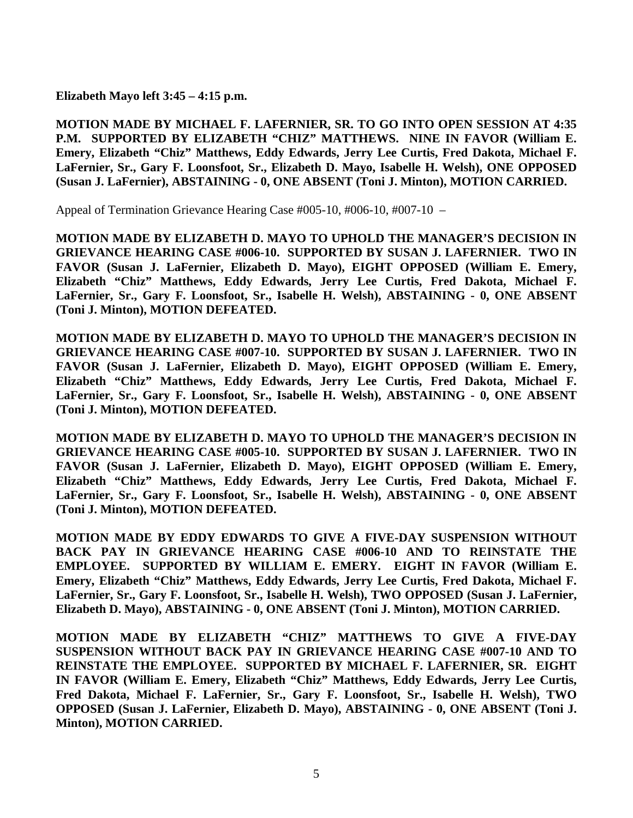**Elizabeth Mayo left 3:45 – 4:15 p.m.** 

**MOTION MADE BY MICHAEL F. LAFERNIER, SR. TO GO INTO OPEN SESSION AT 4:35 P.M. SUPPORTED BY ELIZABETH "CHIZ" MATTHEWS. NINE IN FAVOR (William E. Emery, Elizabeth "Chiz" Matthews, Eddy Edwards, Jerry Lee Curtis, Fred Dakota, Michael F. LaFernier, Sr., Gary F. Loonsfoot, Sr., Elizabeth D. Mayo, Isabelle H. Welsh), ONE OPPOSED (Susan J. LaFernier), ABSTAINING - 0, ONE ABSENT (Toni J. Minton), MOTION CARRIED.**

Appeal of Termination Grievance Hearing Case #005-10, #006-10, #007-10 –

**MOTION MADE BY ELIZABETH D. MAYO TO UPHOLD THE MANAGER'S DECISION IN GRIEVANCE HEARING CASE #006-10. SUPPORTED BY SUSAN J. LAFERNIER. TWO IN FAVOR (Susan J. LaFernier, Elizabeth D. Mayo), EIGHT OPPOSED (William E. Emery, Elizabeth "Chiz" Matthews, Eddy Edwards, Jerry Lee Curtis, Fred Dakota, Michael F. LaFernier, Sr., Gary F. Loonsfoot, Sr., Isabelle H. Welsh), ABSTAINING - 0, ONE ABSENT (Toni J. Minton), MOTION DEFEATED.**

**MOTION MADE BY ELIZABETH D. MAYO TO UPHOLD THE MANAGER'S DECISION IN GRIEVANCE HEARING CASE #007-10. SUPPORTED BY SUSAN J. LAFERNIER. TWO IN FAVOR (Susan J. LaFernier, Elizabeth D. Mayo), EIGHT OPPOSED (William E. Emery, Elizabeth "Chiz" Matthews, Eddy Edwards, Jerry Lee Curtis, Fred Dakota, Michael F. LaFernier, Sr., Gary F. Loonsfoot, Sr., Isabelle H. Welsh), ABSTAINING - 0, ONE ABSENT (Toni J. Minton), MOTION DEFEATED.** 

**MOTION MADE BY ELIZABETH D. MAYO TO UPHOLD THE MANAGER'S DECISION IN GRIEVANCE HEARING CASE #005-10. SUPPORTED BY SUSAN J. LAFERNIER. TWO IN FAVOR (Susan J. LaFernier, Elizabeth D. Mayo), EIGHT OPPOSED (William E. Emery, Elizabeth "Chiz" Matthews, Eddy Edwards, Jerry Lee Curtis, Fred Dakota, Michael F. LaFernier, Sr., Gary F. Loonsfoot, Sr., Isabelle H. Welsh), ABSTAINING - 0, ONE ABSENT (Toni J. Minton), MOTION DEFEATED.** 

**MOTION MADE BY EDDY EDWARDS TO GIVE A FIVE-DAY SUSPENSION WITHOUT BACK PAY IN GRIEVANCE HEARING CASE #006-10 AND TO REINSTATE THE EMPLOYEE. SUPPORTED BY WILLIAM E. EMERY. EIGHT IN FAVOR (William E. Emery, Elizabeth "Chiz" Matthews, Eddy Edwards, Jerry Lee Curtis, Fred Dakota, Michael F. LaFernier, Sr., Gary F. Loonsfoot, Sr., Isabelle H. Welsh), TWO OPPOSED (Susan J. LaFernier, Elizabeth D. Mayo), ABSTAINING - 0, ONE ABSENT (Toni J. Minton), MOTION CARRIED.**

**MOTION MADE BY ELIZABETH "CHIZ" MATTHEWS TO GIVE A FIVE-DAY SUSPENSION WITHOUT BACK PAY IN GRIEVANCE HEARING CASE #007-10 AND TO REINSTATE THE EMPLOYEE. SUPPORTED BY MICHAEL F. LAFERNIER, SR. EIGHT IN FAVOR (William E. Emery, Elizabeth "Chiz" Matthews, Eddy Edwards, Jerry Lee Curtis, Fred Dakota, Michael F. LaFernier, Sr., Gary F. Loonsfoot, Sr., Isabelle H. Welsh), TWO OPPOSED (Susan J. LaFernier, Elizabeth D. Mayo), ABSTAINING - 0, ONE ABSENT (Toni J. Minton), MOTION CARRIED.**